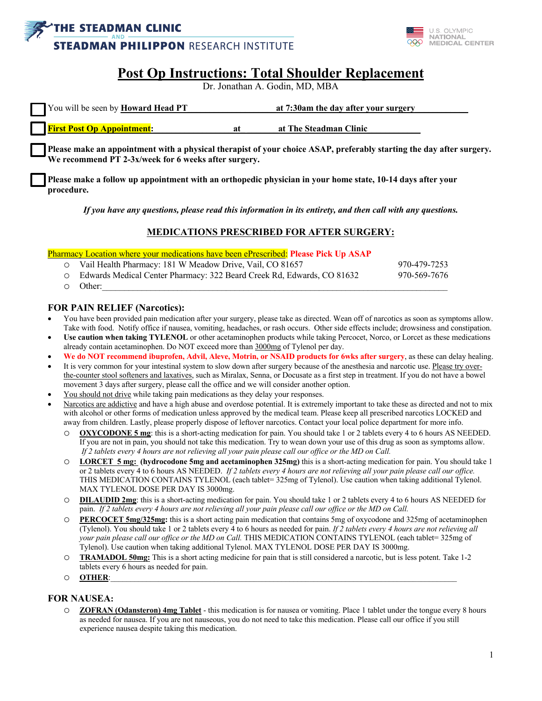



# **Post Op Instructions: Total Shoulder Replacement**

Dr. Jonathan A. Godin, MD, MBA

| <b>You will be seen by Howard Head PT</b> | at 7:30am the day after your surgery |
|-------------------------------------------|--------------------------------------|
| <b>First Post Op Appointment:</b>         | at The Steadman Clinic               |

**Please make an appointment with a physical therapist of your choice ASAP, preferably starting the day after surgery. We recommend PT 2-3x/week for 6 weeks after surgery.**

**Please make a follow up appointment with an orthopedic physician in your home state, 10-14 days after your procedure.**

*If you have any questions, please read this information in its entirety, and then call with any questions.*

#### **MEDICATIONS PRESCRIBED FOR AFTER SURGERY:**

Pharmacy Location where your medications have been ePrescribed: **Please Pick Up ASAP**

| O Vail Health Pharmacy: 181 W Meadow Drive, Vail, CO 81657               | 970-479-7253 |
|--------------------------------------------------------------------------|--------------|
| ○ Edwards Medical Center Pharmacy: 322 Beard Creek Rd, Edwards, CO 81632 | 970-569-7676 |
| $\circ$ Other:                                                           |              |

#### **FOR PAIN RELIEF (Narcotics):**

- You have been provided pain medication after your surgery, please take as directed. Wean off of narcotics as soon as symptoms allow. Take with food. Notify office if nausea, vomiting, headaches, or rash occurs. Other side effects include; drowsiness and constipation.
- **Use caution when taking TYLENOL** or other acetaminophen products while taking Percocet, Norco, or Lorcet as these medications already contain acetaminophen. Do NOT exceed more than 3000mg of Tylenol per day.
- **We do NOT recommend ibuprofen, Advil, Aleve, Motrin, or NSAID products for 6wks after surgery**, as these can delay healing.
- It is very common for your intestinal system to slow down after surgery because of the anesthesia and narcotic use. Please try overthe-counter stool softeners and laxatives, such as Miralax, Senna, or Docusate as a first step in treatment. If you do not have a bowel movement 3 days after surgery, please call the office and we will consider another option.
- You should not drive while taking pain medications as they delay your responses.
- Narcotics are addictive and have a high abuse and overdose potential. It is extremely important to take these as directed and not to mix with alcohol or other forms of medication unless approved by the medical team. Please keep all prescribed narcotics LOCKED and away from children. Lastly, please properly dispose of leftover narcotics. Contact your local police department for more info.
	- o **OXYCODONE 5 mg**: this is a short-acting medication for pain. You should take 1 or 2 tablets every 4 to 6 hours AS NEEDED. If you are not in pain, you should not take this medication. Try to wean down your use of this drug as soon as symptoms allow. *If 2 tablets every 4 hours are not relieving all your pain please call our office or the MD on Call.*
	- o **LORCET 5 mg: (hydrocodone 5mg and acetaminophen 325mg)** this is a short-acting medication for pain. You should take 1 or 2 tablets every 4 to 6 hours AS NEEDED. *If 2 tablets every 4 hours are not relieving all your pain please call our office.*  THIS MEDICATION CONTAINS TYLENOL (each tablet= 325mg of Tylenol). Use caution when taking additional Tylenol. MAX TYLENOL DOSE PER DAY IS 3000mg.
	- o **DILAUDID 2mg**: this is a short-acting medication for pain. You should take 1 or 2 tablets every 4 to 6 hours AS NEEDED for pain. *If 2 tablets every 4 hours are not relieving all your pain please call our office or the MD on Call.*
	- o **PERCOCET 5mg/325mg:** this is a short acting pain medication that contains 5mg of oxycodone and 325mg of acetaminophen (Tylenol). You should take 1 or 2 tablets every 4 to 6 hours as needed for pain. *If 2 tablets every 4 hours are not relieving all your pain please call our office or the MD on Call.* THIS MEDICATION CONTAINS TYLENOL (each tablet= 325mg of Tylenol). Use caution when taking additional Tylenol. MAX TYLENOL DOSE PER DAY IS 3000mg.
	- o **TRAMADOL 50mg:** This is a short acting medicine for pain that is still considered a narcotic, but is less potent. Take 1-2 tablets every 6 hours as needed for pain.
	- o **OTHER**:\_\_\_\_\_\_\_\_\_\_\_\_\_\_\_\_\_\_\_\_\_\_\_\_\_\_\_\_\_\_\_\_\_\_\_\_\_\_\_\_\_\_\_\_\_\_\_\_\_\_\_\_\_\_\_\_\_\_\_\_\_\_\_\_\_\_\_\_\_\_\_\_\_\_\_\_\_\_\_\_\_\_\_\_\_\_\_

#### **FOR NAUSEA:**

o **ZOFRAN (Odansteron) 4mg Tablet** - this medication is for nausea or vomiting. Place 1 tablet under the tongue every 8 hours as needed for nausea. If you are not nauseous, you do not need to take this medication. Please call our office if you still experience nausea despite taking this medication.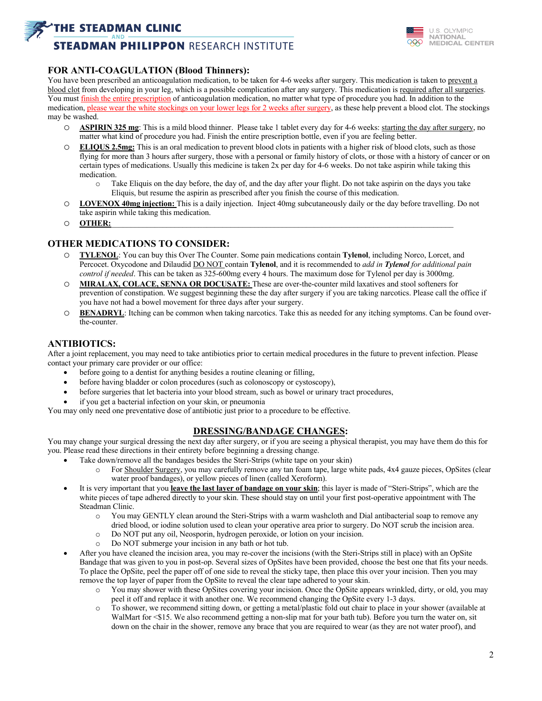## **THE STEADMAN CLINIC**

## **STEADMAN PHILIPPON RESEARCH INSTITUTE**



#### **FOR ANTI-COAGULATION (Blood Thinners):**

You have been prescribed an anticoagulation medication, to be taken for 4-6 weeks after surgery. This medication is taken to prevent a blood clot from developing in your leg, which is a possible complication after any surgery. This medication is required after all surgeries. You must finish the entire prescription of anticoagulation medication, no matter what type of procedure you had. In addition to the medication, please wear the white stockings on your lower legs for 2 weeks after surgery, as these help prevent a blood clot. The stockings may be washed.

- o **ASPIRIN 325 mg**: This is a mild blood thinner. Please take 1 tablet every day for 4-6 weeks: starting the day after surgery, no matter what kind of procedure you had. Finish the entire prescription bottle, even if you are feeling better.
- o **ELIQUS 2.5mg:** This is an oral medication to prevent blood clots in patients with a higher risk of blood clots, such as those flying for more than 3 hours after surgery, those with a personal or family history of clots, or those with a history of cancer or on certain types of medications. Usually this medicine is taken 2x per day for 4-6 weeks. Do not take aspirin while taking this medication.
	- o Take Eliquis on the day before, the day of, and the day after your flight. Do not take aspirin on the days you take Eliquis, but resume the aspirin as prescribed after you finish the course of this medication.
- o **LOVENOX 40mg injection:** This is a daily injection. Inject 40mg subcutaneously daily or the day before travelling. Do not take aspirin while taking this medication.
- o **OTHER:**\_\_\_\_\_\_\_\_\_\_\_\_\_\_\_\_\_\_\_\_\_\_\_\_\_\_\_\_\_\_\_\_\_\_\_\_\_\_\_\_\_\_\_\_\_\_\_\_\_\_\_\_\_\_\_\_\_\_\_\_\_\_\_\_\_\_\_\_\_\_\_\_\_\_\_\_\_\_\_\_\_\_\_\_\_\_

#### **OTHER MEDICATIONS TO CONSIDER:**

- o **TYLENOL**: You can buy this Over The Counter. Some pain medications contain **Tylenol**, including Norco, Lorcet, and Percocet. Oxycodone and Dilaudid DO NOT contain **Tylenol**, and it is recommended to *add in Tylenol for additional pain control if needed*. This can be taken as 325-600mg every 4 hours. The maximum dose for Tylenol per day is 3000mg.
- o **MIRALAX, COLACE, SENNA OR DOCUSATE:** These are over-the-counter mild laxatives and stool softeners for prevention of constipation. We suggest beginning these the day after surgery if you are taking narcotics. Please call the office if you have not had a bowel movement for three days after your surgery.
- o **BENADRYL**: Itching can be common when taking narcotics. Take this as needed for any itching symptoms. Can be found overthe-counter.

## **ANTIBIOTICS:**

After a joint replacement, you may need to take antibiotics prior to certain medical procedures in the future to prevent infection. Please contact your primary care provider or our office:

- before going to a dentist for anything besides a routine cleaning or filling,
- before having bladder or colon procedures (such as colonoscopy or cystoscopy),
- before surgeries that let bacteria into your blood stream, such as bowel or urinary tract procedures,
- if you get a bacterial infection on your skin, or pneumonia

You may only need one preventative dose of antibiotic just prior to a procedure to be effective.

#### **DRESSING/BANDAGE CHANGES:**

You may change your surgical dressing the next day after surgery, or if you are seeing a physical therapist, you may have them do this for you. Please read these directions in their entirety before beginning a dressing change.

- Take down/remove all the bandages besides the Steri-Strips (white tape on your skin)
	- o For Shoulder Surgery, you may carefully remove any tan foam tape, large white pads, 4x4 gauze pieces, OpSites (clear water proof bandages), or yellow pieces of linen (called Xeroform).
	- It is very important that you **leave the last layer of bandage on your skin**; this layer is made of "Steri-Strips", which are the white pieces of tape adhered directly to your skin. These should stay on until your first post-operative appointment with The Steadman Clinic.
		- o You may GENTLY clean around the Steri-Strips with a warm washcloth and Dial antibacterial soap to remove any dried blood, or iodine solution used to clean your operative area prior to surgery. Do NOT scrub the incision area.
		- o Do NOT put any oil, Neosporin, hydrogen peroxide, or lotion on your incision.
		- o Do NOT submerge your incision in any bath or hot tub.
- After you have cleaned the incision area, you may re-cover the incisions (with the Steri-Strips still in place) with an OpSite Bandage that was given to you in post-op. Several sizes of OpSites have been provided, choose the best one that fits your needs. To place the OpSite, peel the paper off of one side to reveal the sticky tape, then place this over your incision. Then you may remove the top layer of paper from the OpSite to reveal the clear tape adhered to your skin.
	- o You may shower with these OpSites covering your incision. Once the OpSite appears wrinkled, dirty, or old, you may peel it off and replace it with another one. We recommend changing the OpSite every 1-3 days.
	- o To shower, we recommend sitting down, or getting a metal/plastic fold out chair to place in your shower (available at WalMart for <\$15. We also recommend getting a non-slip mat for your bath tub). Before you turn the water on, sit down on the chair in the shower, remove any brace that you are required to wear (as they are not water proof), and